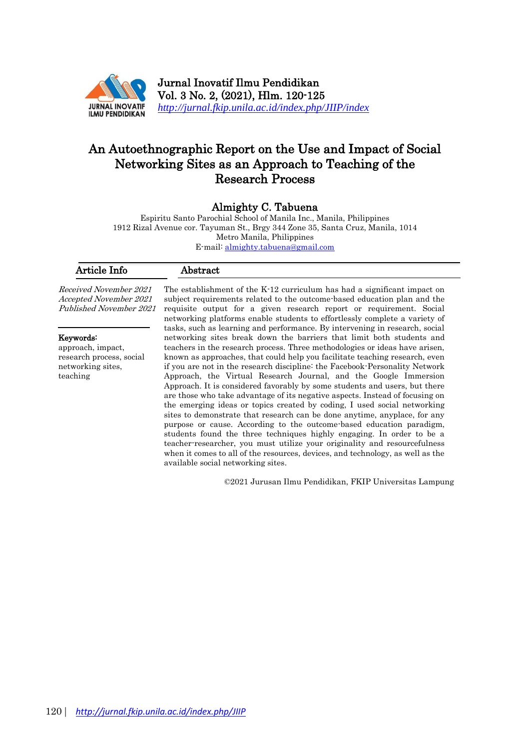

Jurnal Inovatif Ilmu Pendidikan Vol. 3 No. 2, (2021), Hlm. 120-125 *<http://jurnal.fkip.unila.ac.id/index.php/JIIP/index>*

# An Autoethnographic Report on the Use and Impact of Social Networking Sites as an Approach to Teaching of the Research Process

# Almighty C. Tabuena

Espiritu Santo Parochial School of Manila Inc., Manila, Philippines 1912 Rizal Avenue cor. Tayuman St., Brgy 344 Zone 35, Santa Cruz, Manila, 1014 Metro Manila, Philippines E-mail: almighty.tabuena@gmail.com

| Article Info                                                                                | Abstract                                                                                                                                                                                                                                                                                                                                                                                                                                                                                                                                                                                                                                                                                                                                                                                                                                                                                                                                                                                                                                                                                                                                                                                                                                                                                                                                                                                                                                                         |
|---------------------------------------------------------------------------------------------|------------------------------------------------------------------------------------------------------------------------------------------------------------------------------------------------------------------------------------------------------------------------------------------------------------------------------------------------------------------------------------------------------------------------------------------------------------------------------------------------------------------------------------------------------------------------------------------------------------------------------------------------------------------------------------------------------------------------------------------------------------------------------------------------------------------------------------------------------------------------------------------------------------------------------------------------------------------------------------------------------------------------------------------------------------------------------------------------------------------------------------------------------------------------------------------------------------------------------------------------------------------------------------------------------------------------------------------------------------------------------------------------------------------------------------------------------------------|
| Received November 2021<br>Accepted November 2021<br>Published November 2021                 | The establishment of the K-12 curriculum has had a significant impact on<br>subject requirements related to the outcome-based education plan and the<br>requisite output for a given research report or requirement. Social<br>networking platforms enable students to effortlessly complete a variety of<br>tasks, such as learning and performance. By intervening in research, social<br>networking sites break down the barriers that limit both students and<br>teachers in the research process. Three methodologies or ideas have arisen,<br>known as approaches, that could help you facilitate teaching research, even<br>if you are not in the research discipline: the Facebook-Personality Network<br>Approach, the Virtual Research Journal, and the Google Immersion<br>Approach. It is considered favorably by some students and users, but there<br>are those who take advantage of its negative aspects. Instead of focusing on<br>the emerging ideas or topics created by coding, I used social networking<br>sites to demonstrate that research can be done anytime, any place, for any<br>purpose or cause. According to the outcome-based education paradigm,<br>students found the three techniques highly engaging. In order to be a<br>teacher-researcher, you must utilize your originality and resourcefulness<br>when it comes to all of the resources, devices, and technology, as well as the<br>available social networking sites. |
| Keywords:<br>approach, impact,<br>research process, social<br>networking sites.<br>teaching |                                                                                                                                                                                                                                                                                                                                                                                                                                                                                                                                                                                                                                                                                                                                                                                                                                                                                                                                                                                                                                                                                                                                                                                                                                                                                                                                                                                                                                                                  |

©2021 Jurusan Ilmu Pendidikan, FKIP Universitas Lampung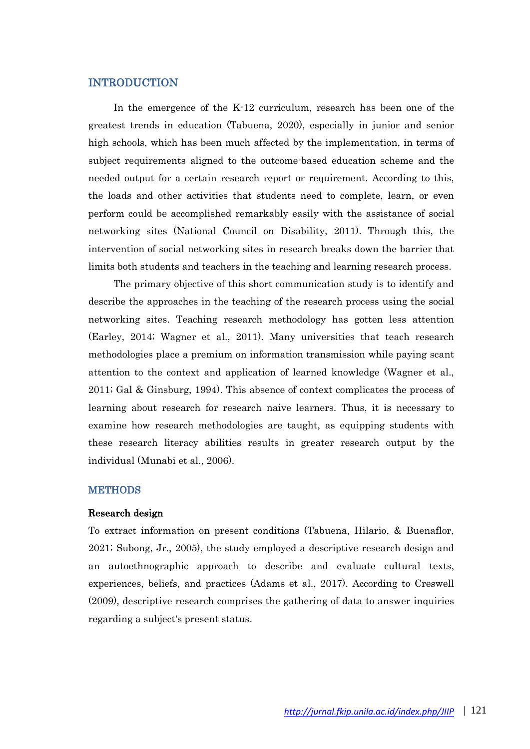# **INTRODUCTION**

In the emergence of the K-12 curriculum, research has been one of the greatest trends in education (Tabuena, 2020), especially in junior and senior high schools, which has been much affected by the implementation, in terms of subject requirements aligned to the outcome-based education scheme and the needed output for a certain research report or requirement. According to this, the loads and other activities that students need to complete, learn, or even perform could be accomplished remarkably easily with the assistance of social networking sites (National Council on Disability, 2011). Through this, the intervention of social networking sites in research breaks down the barrier that limits both students and teachers in the teaching and learning research process.

The primary objective of this short communication study is to identify and describe the approaches in the teaching of the research process using the social networking sites. Teaching research methodology has gotten less attention (Earley, 2014; Wagner et al., 2011). Many universities that teach research methodologies place a premium on information transmission while paying scant attention to the context and application of learned knowledge (Wagner et al., 2011; Gal & Ginsburg, 1994). This absence of context complicates the process of learning about research for research naive learners. Thus, it is necessary to examine how research methodologies are taught, as equipping students with these research literacy abilities results in greater research output by the individual (Munabi et al., 2006).

#### **METHODS**

#### Research design

To extract information on present conditions (Tabuena, Hilario, & Buenaflor, 2021; Subong, Jr., 2005), the study employed a descriptive research design and an autoethnographic approach to describe and evaluate cultural texts, experiences, beliefs, and practices (Adams et al., 2017). According to Creswell (2009), descriptive research comprises the gathering of data to answer inquiries regarding a subject's present status.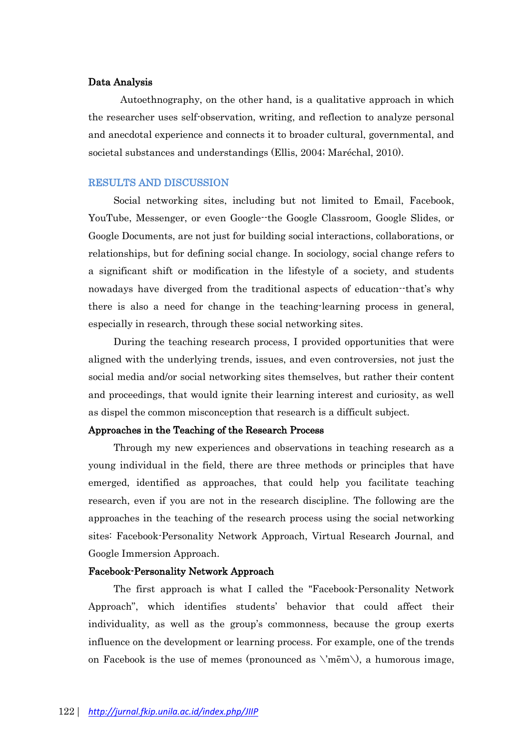## Data Analysis

Autoethnography, on the other hand, is a qualitative approach in which the researcher uses self-observation, writing, and reflection to analyze personal and anecdotal experience and connects it to broader cultural, governmental, and societal substances and understandings (Ellis, 2004; Maréchal, 2010).

#### RESULTS AND DISCUSSION

Social networking sites, including but not limited to Email, Facebook, YouTube, Messenger, or even Google--the Google Classroom, Google Slides, or Google Documents, are not just for building social interactions, collaborations, or relationships, but for defining social change. In sociology, social change refers to a significant shift or modification in the lifestyle of a society, and students nowadays have diverged from the traditional aspects of education--that's why there is also a need for change in the teaching-learning process in general, especially in research, through these social networking sites.

During the teaching research process, I provided opportunities that were aligned with the underlying trends, issues, and even controversies, not just the social media and/or social networking sites themselves, but rather their content and proceedings, that would ignite their learning interest and curiosity, as well as dispel the common misconception that research is a difficult subject.

#### Approaches in the Teaching of the Research Process

Through my new experiences and observations in teaching research as a young individual in the field, there are three methods or principles that have emerged, identified as approaches, that could help you facilitate teaching research, even if you are not in the research discipline. The following are the approaches in the teaching of the research process using the social networking sites: Facebook-Personality Network Approach, Virtual Research Journal, and Google Immersion Approach.

## Facebook-Personality Network Approach

The first approach is what I called the "Facebook-Personality Network Approach", which identifies students' behavior that could affect their individuality, as well as the group's commonness, because the group exerts influence on the development or learning process. For example, one of the trends on Facebook is the use of memes (pronounced as  $\langle m\bar{e}m \rangle$ ), a humorous image,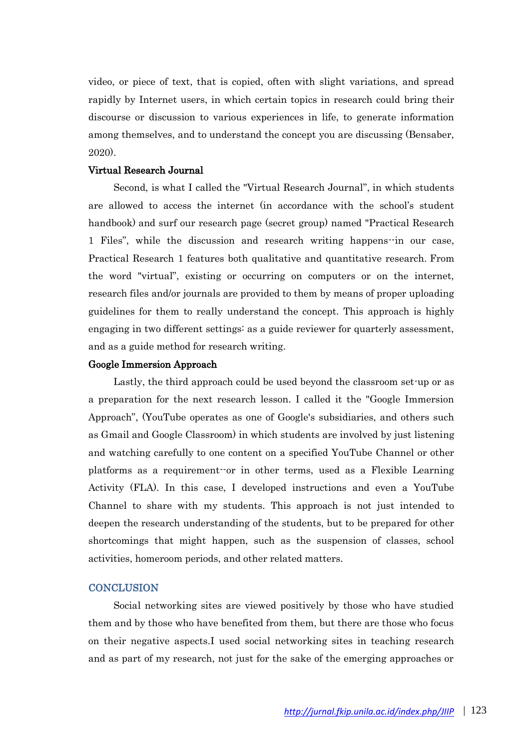video, or piece of text, that is copied, often with slight variations, and spread rapidly by Internet users, in which certain topics in research could bring their discourse or discussion to various experiences in life, to generate information among themselves, and to understand the concept you are discussing (Bensaber, 2020).

# Virtual Research Journal

Second, is what I called the "Virtual Research Journal", in which students are allowed to access the internet (in accordance with the school's student handbook) and surf our research page (secret group) named "Practical Research 1 Files", while the discussion and research writing happens--in our case, Practical Research 1 features both qualitative and quantitative research. From the word "virtual", existing or occurring on computers or on the internet, research files and/or journals are provided to them by means of proper uploading guidelines for them to really understand the concept. This approach is highly engaging in two different settings: as a guide reviewer for quarterly assessment, and as a guide method for research writing.

#### Google Immersion Approach

Lastly, the third approach could be used beyond the classroom set-up or as a preparation for the next research lesson. I called it the "Google Immersion Approach", (YouTube operates as one of Google's subsidiaries, and others such as Gmail and Google Classroom) in which students are involved by just listening and watching carefully to one content on a specified YouTube Channel or other platforms as a requirement--or in other terms, used as a Flexible Learning Activity (FLA). In this case, I developed instructions and even a YouTube Channel to share with my students. This approach is not just intended to deepen the research understanding of the students, but to be prepared for other shortcomings that might happen, such as the suspension of classes, school activities, homeroom periods, and other related matters.

### **CONCLUSION**

Social networking sites are viewed positively by those who have studied them and by those who have benefited from them, but there are those who focus on their negative aspects.I used social networking sites in teaching research and as part of my research, not just for the sake of the emerging approaches or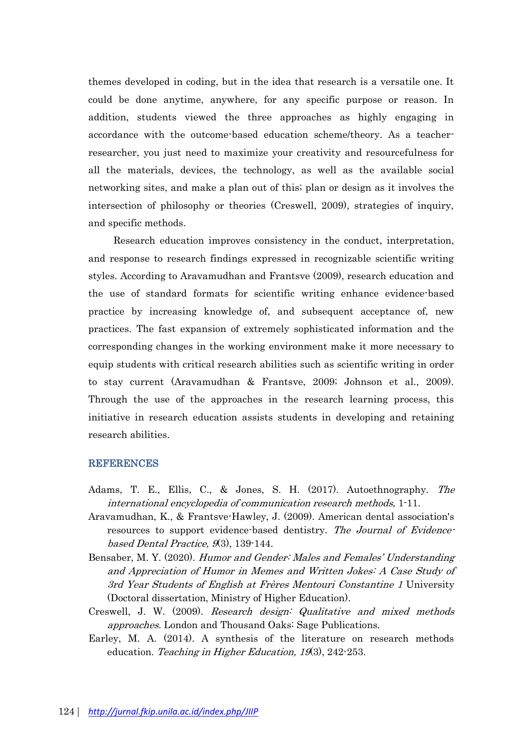themes developed in coding, but in the idea that research is a versatile one. It could be done anytime, anywhere, for any specific purpose or reason. In addition, students viewed the three approaches as highly engaging in accordance with the outcome-based education scheme/theory. As a teacherresearcher, you just need to maximize your creativity and resourcefulness for all the materials, devices, the technology, as well as the available social networking sites, and make a plan out of this; plan or design as it involves the intersection of philosophy or theories (Creswell, 2009), strategies of inquiry, and specific methods.

Research education improves consistency in the conduct, interpretation, and response to research findings expressed in recognizable scientific writing styles. According to Aravamudhan and Frantsve (2009), research education and the use of standard formats for scientific writing enhance evidence-based practice by increasing knowledge of, and subsequent acceptance of, new practices. The fast expansion of extremely sophisticated information and the corresponding changes in the working environment make it more necessary to equip students with critical research abilities such as scientific writing in order to stay current (Aravamudhan & Frantsve, 2009; Johnson et al., 2009). Through the use of the approaches in the research learning process, this initiative in research education assists students in developing and retaining research abilities.

#### **REFERENCES**

- Adams, T. E., Ellis, C., & Jones, S. H. (2017). Autoethnography. The international encyclopedia of communication research methods, 1-11.
- Aravamudhan, K., & Frantsve-Hawley, J. (2009). American dental association's resources to support evidence-based dentistry. The Journal of Evidencebased Dental Practice,  $(9, 3)$ , 139-144.
- Bensaber, M. Y. (2020). Humor and Gender: Males and Females' Understanding and Appreciation of Humor in Memes and Written Jokes: A Case Study of 3rd Year Students of English at Frères Mentouri Constantine 1 University (Doctoral dissertation, Ministry of Higher Education).
- Creswell, J. W. (2009). Research design: Qualitative and mixed methods approaches. London and Thousand Oaks: Sage Publications.
- Earley, M. A. (2014). A synthesis of the literature on research methods education. Teaching in Higher Education, 19(3), 242-253.